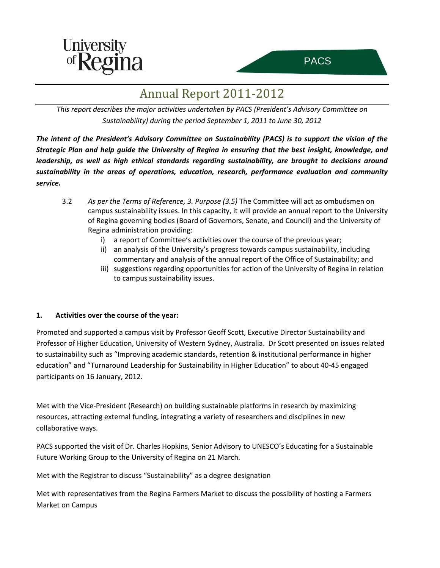



## Annual Report 2011-2012

*This report describes the major activities undertaken by PACS (President's Advisory Committee on Sustainability) during the period September 1, 2011 to June 30, 2012*

*The intent of the President's Advisory Committee on Sustainability (PACS) is to support the vision of the Strategic Plan and help guide the University of Regina in ensuring that the best insight, knowledge, and leadership, as well as high ethical standards regarding sustainability, are brought to decisions around sustainability in the areas of operations, education, research, performance evaluation and community service.*

- 3.2 *As per the Terms of Reference, 3. Purpose (3.5)* The Committee will act as ombudsmen on campus sustainability issues. In this capacity, it will provide an annual report to the University of Regina governing bodies (Board of Governors, Senate, and Council) and the University of Regina administration providing:
	- i) a report of Committee's activities over the course of the previous year;
	- ii) an analysis of the University's progress towards campus sustainability, including commentary and analysis of the annual report of the Office of Sustainability; and
	- iii) suggestions regarding opportunities for action of the University of Regina in relation to campus sustainability issues.

## **1. Activities over the course of the year:**

Promoted and supported a campus visit by Professor Geoff Scott, Executive Director Sustainability and Professor of Higher Education, University of Western Sydney, Australia. Dr Scott presented on issues related to sustainability such as "Improving academic standards, retention & institutional performance in higher education" and "Turnaround Leadership for Sustainability in Higher Education" to about 40-45 engaged participants on 16 January, 2012.

Met with the Vice-President (Research) on building sustainable platforms in research by maximizing resources, attracting external funding, integrating a variety of researchers and disciplines in new collaborative ways.

PACS supported the visit of Dr. Charles Hopkins, Senior Advisory to UNESCO's Educating for a Sustainable Future Working Group to the University of Regina on 21 March.

Met with the Registrar to discuss "Sustainability" as a degree designation

Met with representatives from the Regina Farmers Market to discuss the possibility of hosting a Farmers Market on Campus